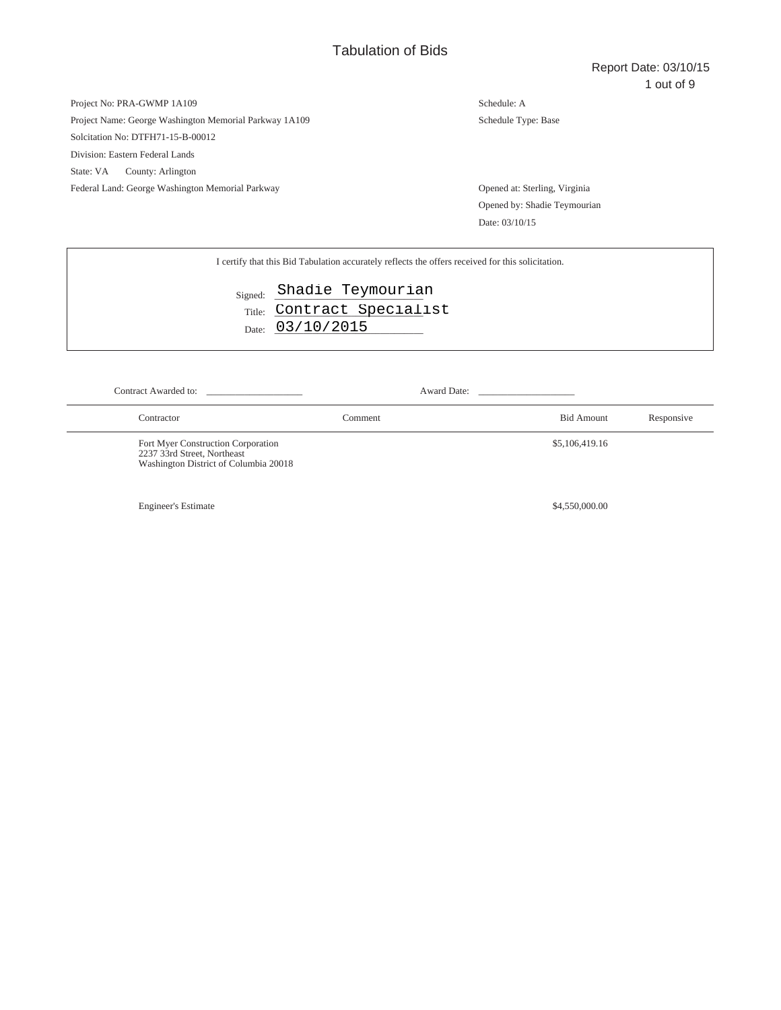# Project No: PRA-GWMP 1A109 Project Name: George Washington Memorial Parkway 1A109 Solcitation No: DTFH71-15-B-00012 Division: Eastern Federal Lands State: VA County: Arlington

Federal Land: George Washington Memorial Parkway Opened at: Sterling, Virginia

Schedule: A Schedule Type: Base

Opened by: Shadie Teymourian Date: 03/10/15

| I certify that this Bid Tabulation accurately reflects the offers received for this solicitation. |
|---------------------------------------------------------------------------------------------------|
| Signed: Shadie Teymourian                                                                         |
| Title: Contract Specialist                                                                        |
| Date: 03/10/2015                                                                                  |
|                                                                                                   |
|                                                                                                   |

| Contract Awarded to:                                                                                       |         | Award Date: |                   |            |
|------------------------------------------------------------------------------------------------------------|---------|-------------|-------------------|------------|
| Contractor                                                                                                 | Comment |             | <b>Bid Amount</b> | Responsive |
| Fort Myer Construction Corporation<br>2237 33rd Street, Northeast<br>Washington District of Columbia 20018 |         |             | \$5,106,419.16    |            |
| <b>Engineer's Estimate</b>                                                                                 |         |             | \$4,550,000.00    |            |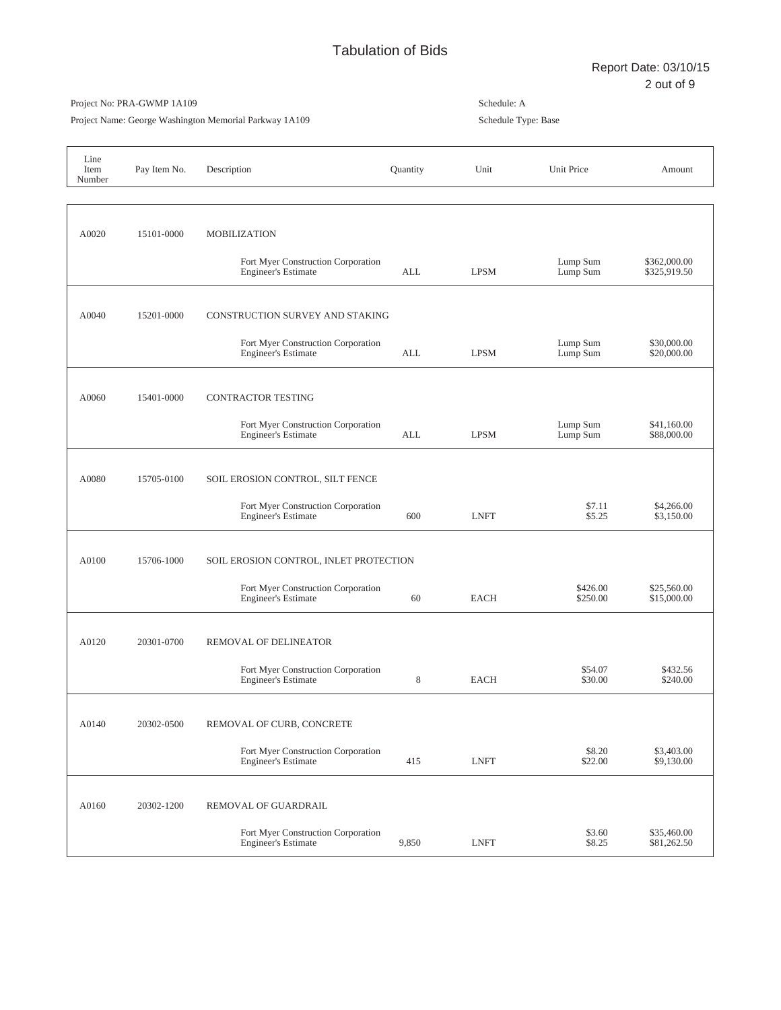Project Name: George Washington Memorial Parkway 1A109

| Line<br>Item<br>Number | Pay Item No. | Description                                                      | Quantity | Unit        | <b>Unit Price</b>    | Amount                       |
|------------------------|--------------|------------------------------------------------------------------|----------|-------------|----------------------|------------------------------|
|                        |              |                                                                  |          |             |                      |                              |
| A0020                  | 15101-0000   | <b>MOBILIZATION</b>                                              |          |             |                      |                              |
|                        |              | Fort Myer Construction Corporation<br><b>Engineer's Estimate</b> | ALL      | <b>LPSM</b> | Lump Sum<br>Lump Sum | \$362,000.00<br>\$325,919.50 |
| A0040                  | 15201-0000   | CONSTRUCTION SURVEY AND STAKING                                  |          |             |                      |                              |
|                        |              | Fort Myer Construction Corporation<br><b>Engineer's Estimate</b> | ALL      | <b>LPSM</b> | Lump Sum<br>Lump Sum | \$30,000.00<br>\$20,000.00   |
| A0060                  | 15401-0000   | <b>CONTRACTOR TESTING</b>                                        |          |             |                      |                              |
|                        |              | Fort Myer Construction Corporation<br><b>Engineer's Estimate</b> | ALL      | <b>LPSM</b> | Lump Sum<br>Lump Sum | \$41,160.00<br>\$88,000.00   |
| A0080                  | 15705-0100   | SOIL EROSION CONTROL, SILT FENCE                                 |          |             |                      |                              |
|                        |              | Fort Myer Construction Corporation<br><b>Engineer's Estimate</b> | 600      | <b>LNFT</b> | \$7.11<br>\$5.25     | \$4,266.00<br>\$3,150.00     |
| A0100                  | 15706-1000   | SOIL EROSION CONTROL, INLET PROTECTION                           |          |             |                      |                              |
|                        |              | Fort Myer Construction Corporation<br><b>Engineer's Estimate</b> | 60       | <b>EACH</b> | \$426.00<br>\$250.00 | \$25,560.00<br>\$15,000.00   |
| A0120                  | 20301-0700   | REMOVAL OF DELINEATOR                                            |          |             |                      |                              |
|                        |              | Fort Myer Construction Corporation<br><b>Engineer's Estimate</b> | 8        | EACH        | \$54.07<br>\$30.00   | \$432.56<br>\$240.00         |
| A0140                  | 20302-0500   | REMOVAL OF CURB, CONCRETE                                        |          |             |                      |                              |
|                        |              | Fort Myer Construction Corporation<br><b>Engineer's Estimate</b> | 415      | <b>LNFT</b> | \$8.20<br>\$22.00    | \$3,403.00<br>\$9,130.00     |
| A0160                  | 20302-1200   | REMOVAL OF GUARDRAIL                                             |          |             |                      |                              |
|                        |              | Fort Myer Construction Corporation<br><b>Engineer's Estimate</b> | 9,850    | <b>LNFT</b> | \$3.60<br>\$8.25     | \$35,460.00<br>\$81,262.50   |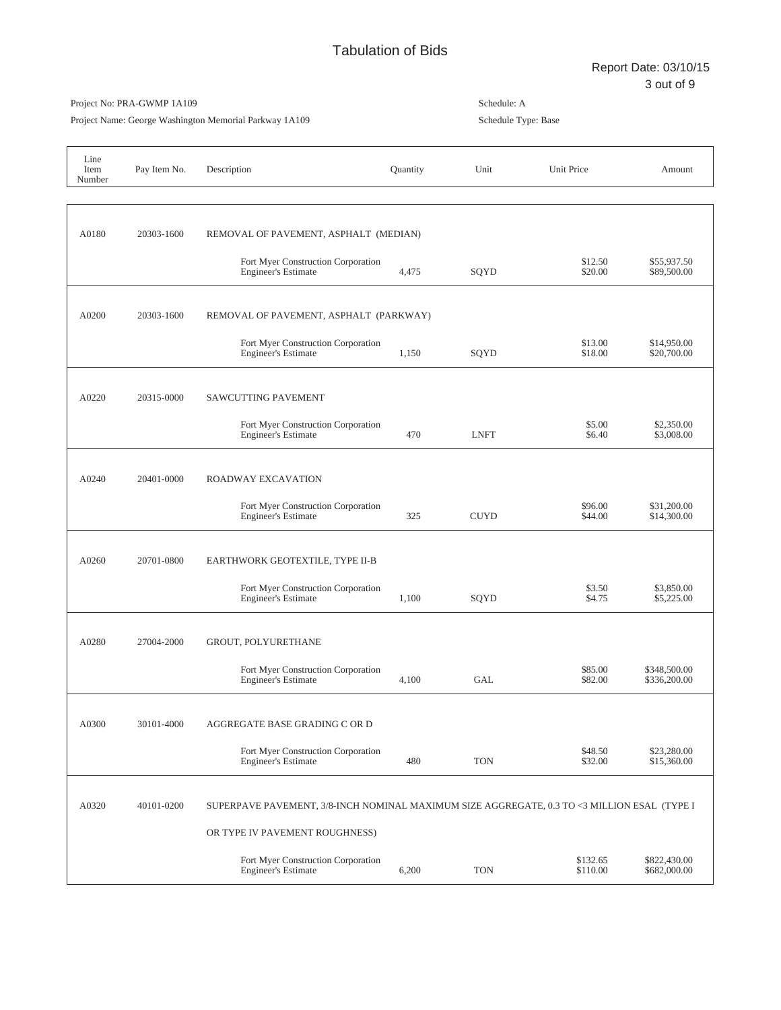Project Name: George Washington Memorial Parkway 1A109

| Line<br>Item<br>Number | Pay Item No. | Description                                                                                 | Quantity | Unit        | Unit Price           | Amount                       |
|------------------------|--------------|---------------------------------------------------------------------------------------------|----------|-------------|----------------------|------------------------------|
|                        |              |                                                                                             |          |             |                      |                              |
| A0180                  | 20303-1600   | REMOVAL OF PAVEMENT, ASPHALT (MEDIAN)                                                       |          |             |                      |                              |
|                        |              | Fort Myer Construction Corporation<br><b>Engineer's Estimate</b>                            | 4,475    | SQYD        | \$12.50<br>\$20.00   | \$55,937.50<br>\$89,500.00   |
| A0200                  | 20303-1600   | REMOVAL OF PAVEMENT, ASPHALT (PARKWAY)                                                      |          |             |                      |                              |
|                        |              | Fort Myer Construction Corporation<br><b>Engineer's Estimate</b>                            | 1,150    | SQYD        | \$13.00<br>\$18.00   | \$14,950.00<br>\$20,700.00   |
| A0220                  | 20315-0000   | SAWCUTTING PAVEMENT                                                                         |          |             |                      |                              |
|                        |              | Fort Myer Construction Corporation<br><b>Engineer's Estimate</b>                            | 470      | <b>LNFT</b> | \$5.00<br>\$6.40     | \$2,350.00<br>\$3,008.00     |
| A0240                  | 20401-0000   | ROADWAY EXCAVATION                                                                          |          |             |                      |                              |
|                        |              | Fort Myer Construction Corporation<br><b>Engineer's Estimate</b>                            | 325      | <b>CUYD</b> | \$96.00<br>\$44.00   | \$31,200.00<br>\$14,300.00   |
| A0260                  | 20701-0800   | EARTHWORK GEOTEXTILE, TYPE II-B                                                             |          |             |                      |                              |
|                        |              | Fort Myer Construction Corporation<br><b>Engineer's Estimate</b>                            | 1,100    | SQYD        | \$3.50<br>\$4.75     | \$3,850.00<br>\$5,225.00     |
| A0280                  | 27004-2000   | GROUT, POLYURETHANE                                                                         |          |             |                      |                              |
|                        |              | Fort Myer Construction Corporation<br><b>Engineer's Estimate</b>                            | 4,100    | <b>GAL</b>  | \$85.00<br>\$82.00   | \$348,500.00<br>\$336,200.00 |
| A0300                  | 30101-4000   | AGGREGATE BASE GRADING C OR D                                                               |          |             |                      |                              |
|                        |              | Fort Myer Construction Corporation<br><b>Engineer's Estimate</b>                            | 480      | <b>TON</b>  | \$48.50<br>\$32.00   | \$23,280.00<br>\$15,360.00   |
| A0320                  | 40101-0200   | SUPERPAVE PAVEMENT, 3/8-INCH NOMINAL MAXIMUM SIZE AGGREGATE, 0.3 TO <3 MILLION ESAL (TYPE I |          |             |                      |                              |
|                        |              | OR TYPE IV PAVEMENT ROUGHNESS)                                                              |          |             |                      |                              |
|                        |              | Fort Myer Construction Corporation<br><b>Engineer's Estimate</b>                            | 6,200    | <b>TON</b>  | \$132.65<br>\$110.00 | \$822,430.00<br>\$682,000.00 |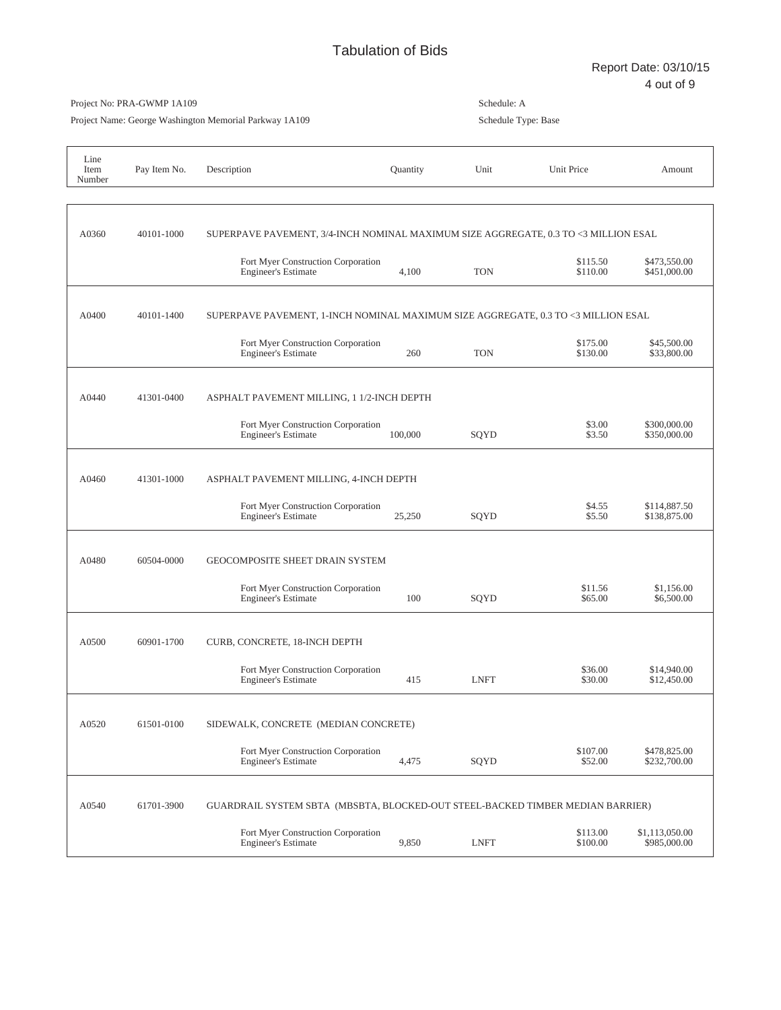Schedule: A

Project No: PRA-GWMP 1A109

# Project Name: George Washington Memorial Parkway 1A109 Schedule Type: Base Line Item Pay Item No. Description and the Cuantity Unit Unit Price Amount Amount Number A0360 40101-1000 SUPERPAVE PAVEMENT, 3/4-INCH NOMINAL MAXIMUM SIZE AGGREGATE, 0.3 TO <3 MILLION ESAL Fort Myer Construction Corporation<br>
Engineer's Estimate  $4.100$ <br>
TON  $$115.50$ <br>  $$473,550.00$ <br>  $$451,000.00$ <br>  $$451,000.00$ Engineer's Estimate A0400 40101-1400 SUPERPAVE PAVEMENT, 1-INCH NOMINAL MAXIMUM SIZE AGGREGATE, 0.3 TO <3 MILLION ESAL Fort Myer Construction Corporation<br>
Engineer's Estimate 1990 645,500.00 \$175.00 \$130.00 \$133,800.00 Engineer's Estimate A0440 41301-0400 ASPHALT PAVEMENT MILLING, 1 1/2-INCH DEPTH Fort Myer Construction Corporation<br>
Engineer's Estimate 100,000 \$300,000.00<br>
\$3.50 \$350,000.00 Engineer's Estimate A0460 41301-1000 ASPHALT PAVEMENT MILLING, 4-INCH DEPTH Fort Myer Construction Corporation<br>
Engineer's Estimate<br>
25,250 \$155.50 \$138,875.00 Engineer's Estimate A0480 60504-0000 GEOCOMPOSITE SHEET DRAIN SYSTEM Fort Myer Construction Corporation<br>
Engineer's Estimate 100 \$09YD \$65.00 \$6,500.00 Engineer's Estimate A0500 60901-1700 CURB, CONCRETE, 18-INCH DEPTH Fort Myer Construction Corporation \$36.00 \$14,940.00 Engineer's Estimate A0520 61501-0100 SIDEWALK, CONCRETE (MEDIAN CONCRETE) Fort Myer Construction Corporation<br>
Engineer's Estimate  $4.475$ <br>
SOYD  $$52.00$   $$232.700.00$ Engineer's Estimate A0540 61701-3900 GUARDRAIL SYSTEM SBTA (MBSBTA, BLOCKED-OUT STEEL-BACKED TIMBER MEDIAN BARRIER) Fort Myer Construction Corporation<br>
Engineer's Estimate 9,850 1.115,050.00  $\frac{$113.00}{$100.00}$  \$1,113,050.00<br>
\$985,000.00 \$985,000.00 Engineer's Estimate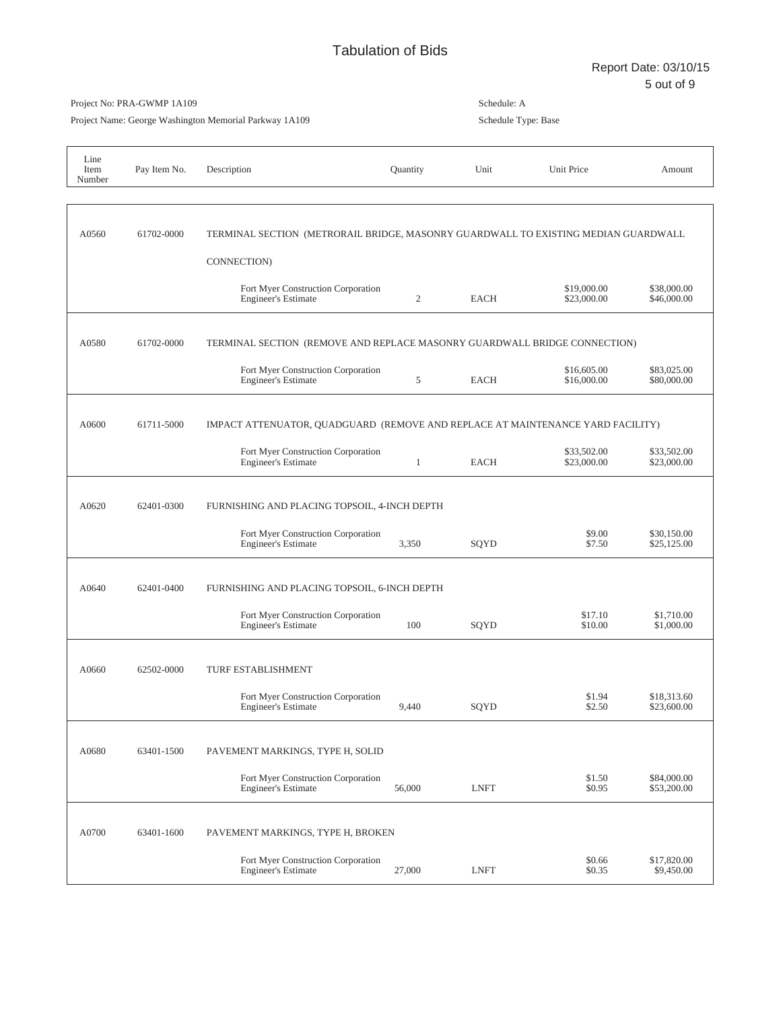Project Name: George Washington Memorial Parkway 1A109

| Line<br>Item<br>Number | Pay Item No. | Description                                                                        | Quantity       | Unit        | Unit Price                 | Amount                     |
|------------------------|--------------|------------------------------------------------------------------------------------|----------------|-------------|----------------------------|----------------------------|
|                        |              |                                                                                    |                |             |                            |                            |
| A0560                  | 61702-0000   | TERMINAL SECTION (METRORAIL BRIDGE, MASONRY GUARDWALL TO EXISTING MEDIAN GUARDWALL |                |             |                            |                            |
|                        |              | CONNECTION)                                                                        |                |             |                            |                            |
|                        |              | Fort Myer Construction Corporation<br><b>Engineer's Estimate</b>                   | $\overline{2}$ | <b>EACH</b> | \$19,000.00<br>\$23,000.00 | \$38,000.00<br>\$46,000.00 |
| A0580                  | 61702-0000   | TERMINAL SECTION (REMOVE AND REPLACE MASONRY GUARDWALL BRIDGE CONNECTION)          |                |             |                            |                            |
|                        |              | Fort Myer Construction Corporation<br><b>Engineer's Estimate</b>                   | 5              | <b>EACH</b> | \$16,605.00<br>\$16,000.00 | \$83,025.00<br>\$80,000.00 |
| A0600                  | 61711-5000   | IMPACT ATTENUATOR, QUADGUARD (REMOVE AND REPLACE AT MAINTENANCE YARD FACILITY)     |                |             |                            |                            |
|                        |              | Fort Myer Construction Corporation<br><b>Engineer's Estimate</b>                   | 1              | <b>EACH</b> | \$33,502.00<br>\$23,000.00 | \$33,502.00<br>\$23,000.00 |
| A0620                  | 62401-0300   | FURNISHING AND PLACING TOPSOIL, 4-INCH DEPTH                                       |                |             |                            |                            |
|                        |              | Fort Myer Construction Corporation<br><b>Engineer's Estimate</b>                   | 3,350          | SQYD        | \$9.00<br>\$7.50           | \$30,150.00<br>\$25,125.00 |
| A0640                  | 62401-0400   | FURNISHING AND PLACING TOPSOIL, 6-INCH DEPTH                                       |                |             |                            |                            |
|                        |              | Fort Myer Construction Corporation<br><b>Engineer's Estimate</b>                   | 100            | SQYD        | \$17.10<br>\$10.00         | \$1,710.00<br>\$1,000.00   |
| A0660                  | 62502-0000   | TURF ESTABLISHMENT                                                                 |                |             |                            |                            |
|                        |              | Fort Myer Construction Corporation<br><b>Engineer's Estimate</b>                   | 9,440          | SQYD        | \$1.94<br>\$2.50           | \$18,313.60<br>\$23,600.00 |
| A0680                  | 63401-1500   | PAVEMENT MARKINGS, TYPE H, SOLID                                                   |                |             |                            |                            |
|                        |              | Fort Myer Construction Corporation<br><b>Engineer's Estimate</b>                   | 56,000         | <b>LNFT</b> | \$1.50<br>\$0.95           | \$84,000.00<br>\$53,200.00 |
| A0700                  | 63401-1600   | PAVEMENT MARKINGS, TYPE H, BROKEN                                                  |                |             |                            |                            |
|                        |              | Fort Myer Construction Corporation<br><b>Engineer's Estimate</b>                   | 27,000         | <b>LNFT</b> | \$0.66<br>\$0.35           | \$17,820.00<br>\$9,450.00  |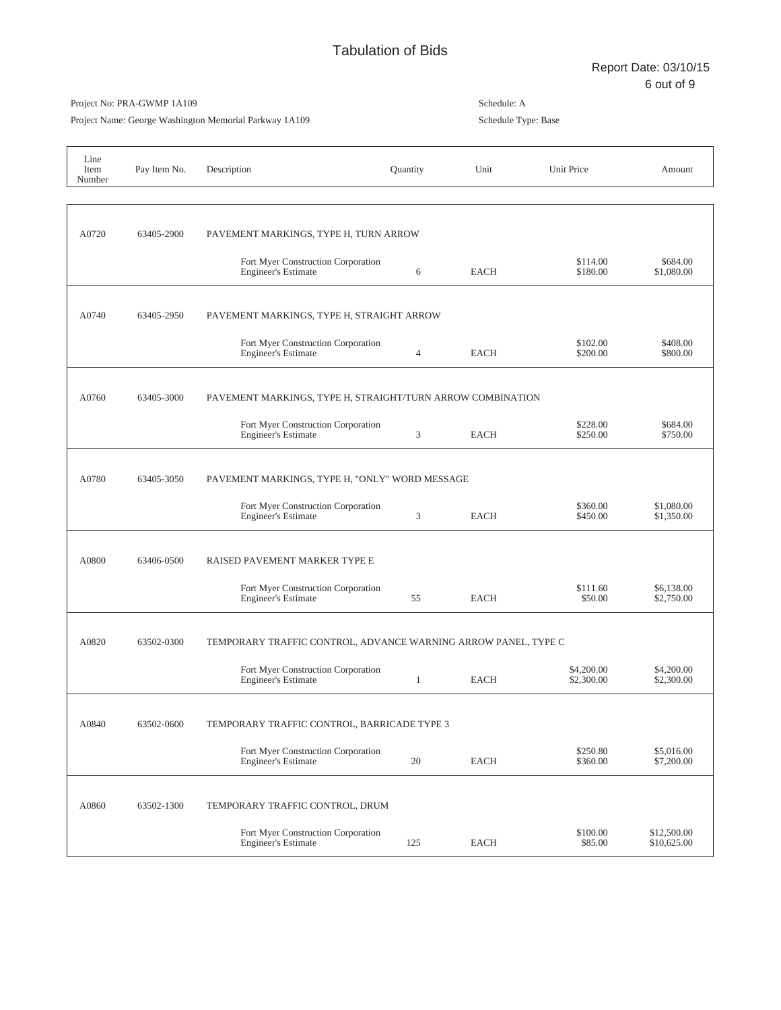Project Name: George Washington Memorial Parkway 1A109

| Line<br>Item<br>Number | Pay Item No. | Description                                                      | Quantity     | Unit        | Unit Price               | Amount                     |
|------------------------|--------------|------------------------------------------------------------------|--------------|-------------|--------------------------|----------------------------|
|                        |              |                                                                  |              |             |                          |                            |
| A0720                  | 63405-2900   | PAVEMENT MARKINGS, TYPE H, TURN ARROW                            |              |             |                          |                            |
|                        |              | Fort Myer Construction Corporation<br><b>Engineer's Estimate</b> | 6            | <b>EACH</b> | \$114.00<br>\$180.00     | \$684.00<br>\$1,080.00     |
| A0740                  | 63405-2950   | PAVEMENT MARKINGS, TYPE H, STRAIGHT ARROW                        |              |             |                          |                            |
|                        |              | Fort Myer Construction Corporation<br><b>Engineer's Estimate</b> | 4            | <b>EACH</b> | \$102.00<br>\$200.00     | \$408.00<br>\$800.00       |
| A0760                  | 63405-3000   | PAVEMENT MARKINGS, TYPE H, STRAIGHT/TURN ARROW COMBINATION       |              |             |                          |                            |
|                        |              | Fort Myer Construction Corporation<br><b>Engineer's Estimate</b> | 3            | <b>EACH</b> | \$228.00<br>\$250.00     | \$684.00<br>\$750.00       |
| A0780                  | 63405-3050   | PAVEMENT MARKINGS, TYPE H, "ONLY" WORD MESSAGE                   |              |             |                          |                            |
|                        |              | Fort Myer Construction Corporation<br><b>Engineer's Estimate</b> | 3            | <b>EACH</b> | \$360.00<br>\$450.00     | \$1,080.00<br>\$1,350.00   |
| A0800                  | 63406-0500   | RAISED PAVEMENT MARKER TYPE E                                    |              |             |                          |                            |
|                        |              | Fort Myer Construction Corporation<br><b>Engineer's Estimate</b> | 55           | <b>EACH</b> | \$111.60<br>\$50.00      | \$6,138.00<br>\$2,750.00   |
| A0820                  | 63502-0300   | TEMPORARY TRAFFIC CONTROL, ADVANCE WARNING ARROW PANEL, TYPE C   |              |             |                          |                            |
|                        |              | Fort Myer Construction Corporation<br><b>Engineer's Estimate</b> | $\mathbf{1}$ | EACH        | \$4,200.00<br>\$2,300.00 | \$4,200.00<br>\$2,300.00   |
| A0840                  | 63502-0600   | TEMPORARY TRAFFIC CONTROL, BARRICADE TYPE 3                      |              |             |                          |                            |
|                        |              | Fort Myer Construction Corporation<br><b>Engineer's Estimate</b> | 20           | <b>EACH</b> | \$250.80<br>\$360.00     | \$5,016.00<br>\$7,200.00   |
| A0860                  | 63502-1300   | TEMPORARY TRAFFIC CONTROL, DRUM                                  |              |             |                          |                            |
|                        |              | Fort Myer Construction Corporation<br><b>Engineer's Estimate</b> | 125          | <b>EACH</b> | \$100.00<br>\$85.00      | \$12,500.00<br>\$10,625.00 |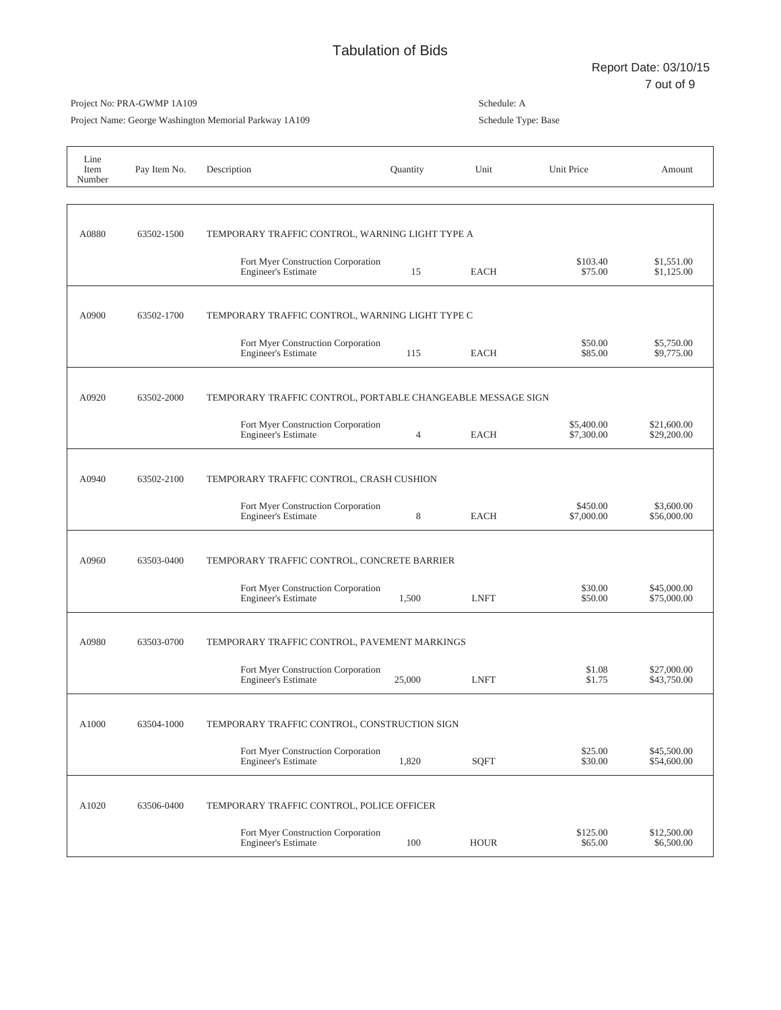Project Name: George Washington Memorial Parkway 1A109

| Line<br>Item<br>Number | Pay Item No. | Description                                                      | Quantity       | Unit        | Unit Price               | Amount                     |
|------------------------|--------------|------------------------------------------------------------------|----------------|-------------|--------------------------|----------------------------|
|                        |              |                                                                  |                |             |                          |                            |
| A0880                  | 63502-1500   | TEMPORARY TRAFFIC CONTROL, WARNING LIGHT TYPE A                  |                |             |                          |                            |
|                        |              | Fort Myer Construction Corporation<br><b>Engineer's Estimate</b> | 15             | EACH        | \$103.40<br>\$75.00      | \$1,551.00<br>\$1,125.00   |
| A0900                  | 63502-1700   | TEMPORARY TRAFFIC CONTROL, WARNING LIGHT TYPE C                  |                |             |                          |                            |
|                        |              | Fort Myer Construction Corporation<br><b>Engineer's Estimate</b> | 115            | <b>EACH</b> | \$50.00<br>\$85.00       | \$5,750.00<br>\$9,775.00   |
| A0920                  | 63502-2000   | TEMPORARY TRAFFIC CONTROL, PORTABLE CHANGEABLE MESSAGE SIGN      |                |             |                          |                            |
|                        |              | Fort Myer Construction Corporation<br><b>Engineer's Estimate</b> | $\overline{4}$ | <b>EACH</b> | \$5,400.00<br>\$7,300.00 | \$21,600.00<br>\$29,200.00 |
| A0940                  | 63502-2100   | TEMPORARY TRAFFIC CONTROL, CRASH CUSHION                         |                |             |                          |                            |
|                        |              | Fort Myer Construction Corporation<br><b>Engineer's Estimate</b> | 8              | <b>EACH</b> | \$450.00<br>\$7,000.00   | \$3,600.00<br>\$56,000.00  |
| A0960                  | 63503-0400   | TEMPORARY TRAFFIC CONTROL, CONCRETE BARRIER                      |                |             |                          |                            |
|                        |              | Fort Myer Construction Corporation<br><b>Engineer's Estimate</b> | 1,500          | <b>LNFT</b> | \$30.00<br>\$50.00       | \$45,000.00<br>\$75,000.00 |
| A0980                  | 63503-0700   | TEMPORARY TRAFFIC CONTROL, PAVEMENT MARKINGS                     |                |             |                          |                            |
|                        |              | Fort Myer Construction Corporation<br><b>Engineer's Estimate</b> | 25,000         | <b>LNFT</b> | \$1.08<br>\$1.75         | \$27,000.00<br>\$43,750.00 |
| A1000                  | 63504-1000   | TEMPORARY TRAFFIC CONTROL, CONSTRUCTION SIGN                     |                |             |                          |                            |
|                        |              | Fort Myer Construction Corporation<br><b>Engineer's Estimate</b> | 1,820          | <b>SQFT</b> | \$25.00<br>\$30.00       | \$45,500.00<br>\$54,600.00 |
| A1020                  | 63506-0400   | TEMPORARY TRAFFIC CONTROL, POLICE OFFICER                        |                |             |                          |                            |
|                        |              | Fort Myer Construction Corporation<br><b>Engineer's Estimate</b> | 100            | <b>HOUR</b> | \$125.00<br>\$65.00      | \$12,500.00<br>\$6,500.00  |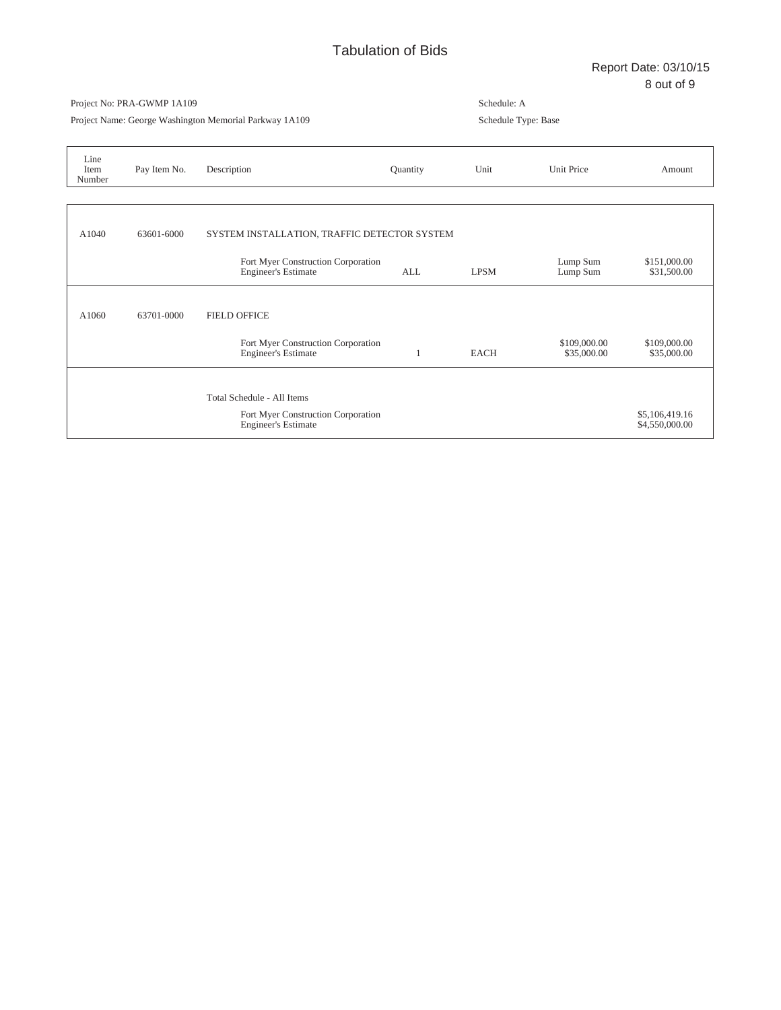Project Name: George Washington Memorial Parkway 1A109

| Line<br>Item<br>Number | Pay Item No. | Description                                                      | Quantity   | Unit        | Unit Price                  | Amount                           |
|------------------------|--------------|------------------------------------------------------------------|------------|-------------|-----------------------------|----------------------------------|
|                        |              |                                                                  |            |             |                             |                                  |
| A1040                  | 63601-6000   | SYSTEM INSTALLATION, TRAFFIC DETECTOR SYSTEM                     |            |             |                             |                                  |
|                        |              | Fort Myer Construction Corporation<br><b>Engineer's Estimate</b> | <b>ALL</b> | <b>LPSM</b> | Lump Sum<br>Lump Sum        | \$151,000.00<br>\$31,500.00      |
| A1060                  | 63701-0000   | <b>FIELD OFFICE</b>                                              |            |             |                             |                                  |
|                        |              | Fort Myer Construction Corporation<br><b>Engineer's Estimate</b> |            | <b>EACH</b> | \$109,000.00<br>\$35,000.00 | \$109,000.00<br>\$35,000.00      |
|                        |              |                                                                  |            |             |                             |                                  |
|                        |              | Total Schedule - All Items                                       |            |             |                             |                                  |
|                        |              | Fort Myer Construction Corporation<br><b>Engineer's Estimate</b> |            |             |                             | \$5,106,419.16<br>\$4,550,000.00 |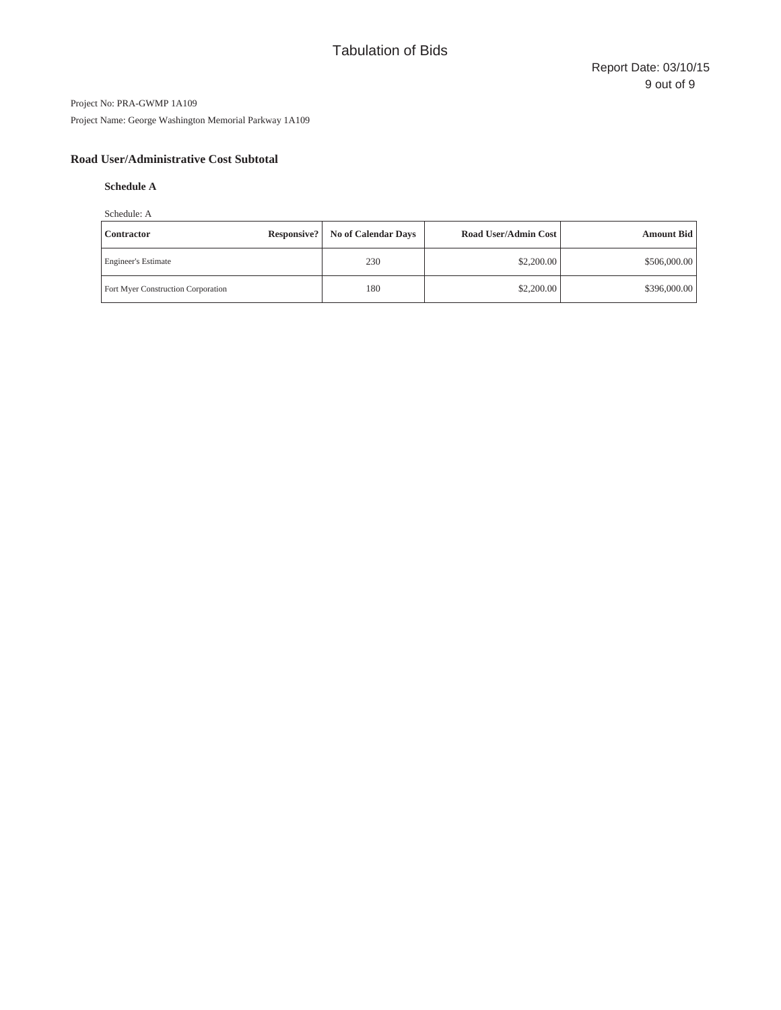Project Name: George Washington Memorial Parkway 1A109

# **Road User/Administrative Cost Subtotal**

# **Schedule A**

Schedule: A

| Responsive?<br><b>Contractor</b>          | <b>No of Calendar Days</b> | Road User/Admin Cost | <b>Amount Bid</b> |
|-------------------------------------------|----------------------------|----------------------|-------------------|
| <b>Engineer's Estimate</b>                | 230                        | \$2,200.00           | \$506,000.00      |
| <b>Fort Myer Construction Corporation</b> | 180                        | \$2,200.00           | \$396,000.00      |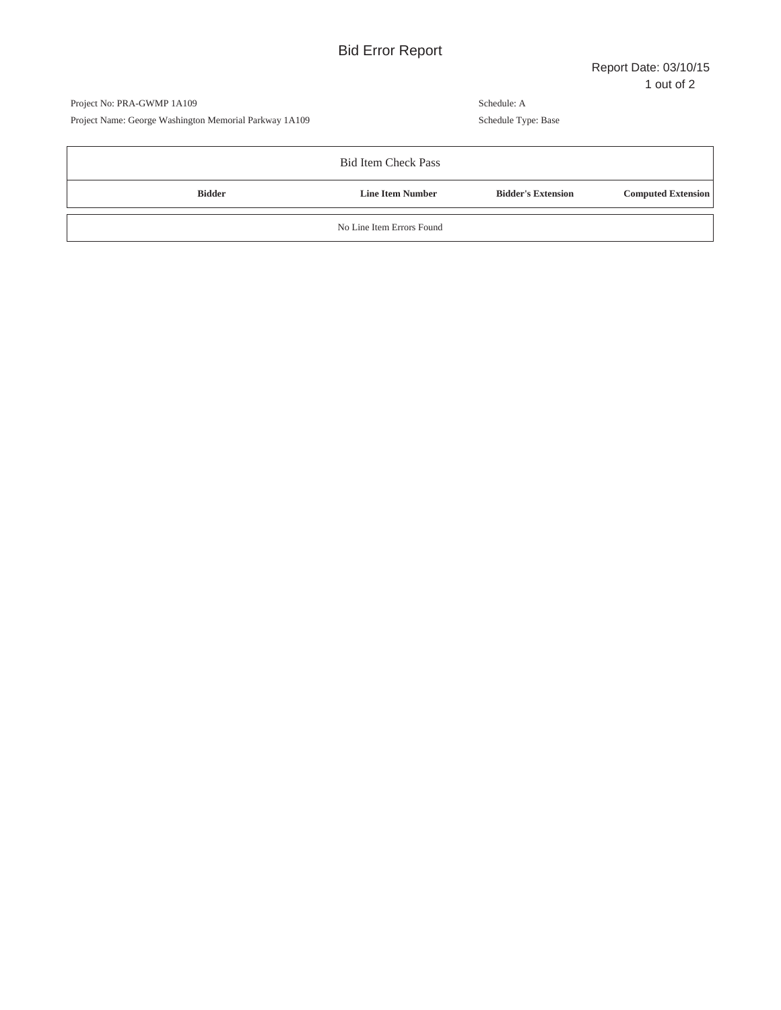Project No: PRA-GWMP 1A109 Project Name: George Washington Memorial Parkway 1A109

|               | <b>Bid Item Check Pass</b> |                           |                           |
|---------------|----------------------------|---------------------------|---------------------------|
| <b>Bidder</b> | <b>Line Item Number</b>    | <b>Bidder's Extension</b> | <b>Computed Extension</b> |
|               | No Line Item Errors Found  |                           |                           |